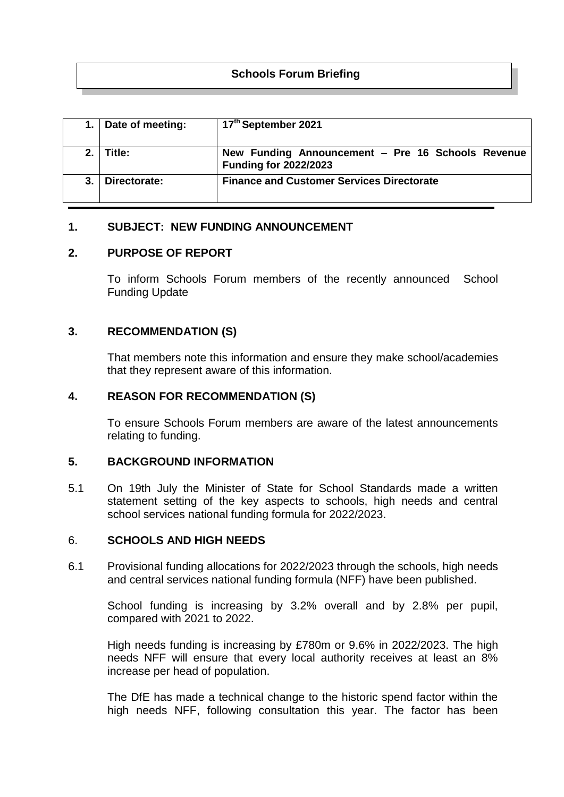# **Schools Forum Briefing**

|       | Date of meeting: | 17th September 2021                                                               |
|-------|------------------|-----------------------------------------------------------------------------------|
| $2-1$ | Title:           | New Funding Announcement - Pre 16 Schools Revenue<br><b>Funding for 2022/2023</b> |
|       | Directorate:     | <b>Finance and Customer Services Directorate</b>                                  |

## **1. SUBJECT: NEW FUNDING ANNOUNCEMENT**

## **2. PURPOSE OF REPORT**

To inform Schools Forum members of the recently announced School Funding Update

# **3. RECOMMENDATION (S)**

That members note this information and ensure they make school/academies that they represent aware of this information.

#### **4. REASON FOR RECOMMENDATION (S)**

To ensure Schools Forum members are aware of the latest announcements relating to funding.

#### **5. BACKGROUND INFORMATION**

5.1 On 19th July the Minister of State for School Standards made a written statement setting of the key aspects to schools, high needs and central school services national funding formula for 2022/2023.

#### 6. **SCHOOLS AND HIGH NEEDS**

6.1 Provisional funding allocations for 2022/2023 through the schools, high needs and central services national funding formula (NFF) have been published.

School funding is increasing by 3.2% overall and by 2.8% per pupil, compared with 2021 to 2022.

High needs funding is increasing by £780m or 9.6% in 2022/2023. The high needs NFF will ensure that every local authority receives at least an 8% increase per head of population.

The DfE has made a technical change to the historic spend factor within the high needs NFF, following consultation this year. The factor has been